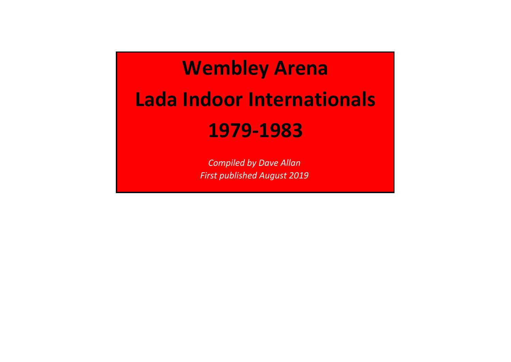# **Wembley ArenaLada Indoor Internationals1979-1983**

*Compiled by Dave AllanFirst published August 2019*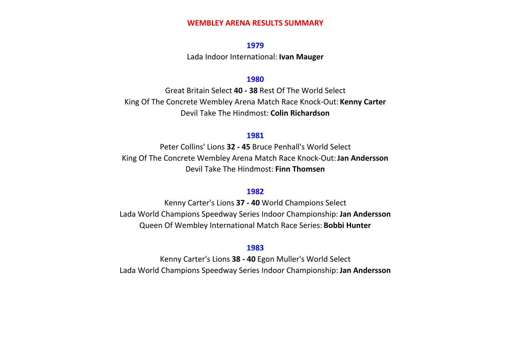# **WEMBLEY ARENA RESULTS SUMMARY**

# **1979**

Lada Indoor International: **Ivan Mauger**

# **1980**

 Great Britain Select **40 - 38** Rest Of The World SelectKing Of The Concrete Wembley Arena Match Race Knock-Out: **Kenny Carter**Devil Take The Hindmost: **Colin Richardson**

# **1981**

 Peter Collins' Lions **32 - 45** Bruce Penhall's World SelectKing Of The Concrete Wembley Arena Match Race Knock-Out: **Jan Andersson**Devil Take The Hindmost: **Finn Thomsen**

# **1982**

 Kenny Carter's Lions **37 - 40** World Champions SelectLada World Champions Speedway Series Indoor Championship: **Jan Andersson**Queen Of Wembley International Match Race Series: **Bobbi Hunter**

# **1983**

 Kenny Carter's Lions **38 - 40** Egon Muller's World SelectLada World Champions Speedway Series Indoor Championship: **Jan Andersson**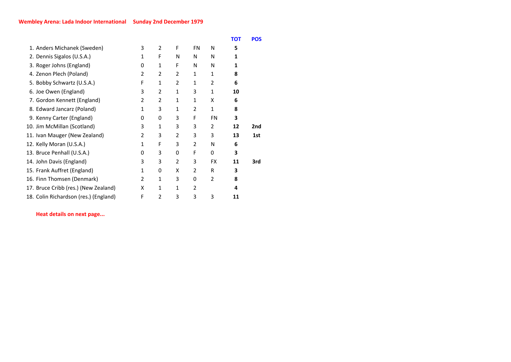|                                       |                |                |              |               |                | <b>TOT</b> | <b>POS</b> |
|---------------------------------------|----------------|----------------|--------------|---------------|----------------|------------|------------|
| 1. Anders Michanek (Sweden)           | 3              | $\overline{2}$ | F            | <b>FN</b>     | N              | 5          |            |
| 2. Dennis Sigalos (U.S.A.)            | 1              | F              | N            | N             | N              | 1          |            |
| 3. Roger Johns (England)              | 0              | 1              | F            | N             | N              | 1          |            |
| 4. Zenon Plech (Poland)               | 2              | $\overline{2}$ | 2            | 1             | 1              | 8          |            |
| 5. Bobby Schwartz (U.S.A.)            | F              | 1              | 2            | $\mathbf{1}$  | 2              | 6          |            |
| 6. Joe Owen (England)                 | 3              | $\overline{2}$ | $\mathbf{1}$ | 3             | $\mathbf{1}$   | 10         |            |
| 7. Gordon Kennett (England)           | 2              | $\overline{2}$ | 1            | 1             | x              | 6          |            |
| 8. Edward Jancarz (Poland)            | 1              | 3              | $\mathbf{1}$ | 2             | $\mathbf{1}$   | 8          |            |
| 9. Kenny Carter (England)             | 0              | 0              | 3            | F             | <b>FN</b>      | 3          |            |
| 10. Jim McMillan (Scotland)           | 3              | 1              | 3            | 3             | 2              | 12         | 2nd        |
| 11. Ivan Mauger (New Zealand)         | $\overline{2}$ | 3              | 2            | 3             | 3              | 13         | 1st        |
| 12. Kelly Moran (U.S.A.)              | 1              | F              | 3            | 2             | N              | 6          |            |
| 13. Bruce Penhall (U.S.A.)            | 0              | 3              | 0            | F             | $\Omega$       | 3          |            |
| 14. John Davis (England)              | 3              | 3              | 2            | 3             | <b>FX</b>      | 11         | 3rd        |
| 15. Frank Auffret (England)           | 1              | 0              | x            | 2             | R              | 3          |            |
| 16. Finn Thomsen (Denmark)            | $\overline{2}$ | 1              | 3            | 0             | $\overline{2}$ | 8          |            |
| 17. Bruce Cribb (res.) (New Zealand)  | x              | 1              | 1            | $\mathcal{P}$ |                | 4          |            |
| 18. Colin Richardson (res.) (England) | F              | 2              | 3            | 3             | 3              | 11         |            |
|                                       |                |                |              |               |                |            |            |

**Heat details on next page...**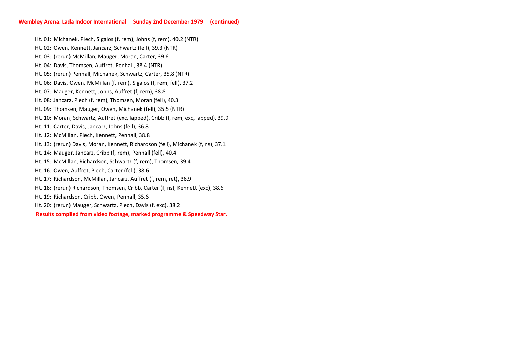Ht. 01: Michanek, Plech, Sigalos (f, rem), Johns (f, rem), 40.2 (NTR)

Ht. 02: Owen, Kennett, Jancarz, Schwartz (fell), 39.3 (NTR)

Ht. 17: Richardson, McMillan, Jancarz, Auffret (f, rem, ret), 36.9 Ht. 18: (rerun) Richardson, Thomsen, Cribb, Carter (f, ns), Kennett (exc), 38.6 Ht. 10: Moran, Schwartz, Auffret (exc, lapped), Cribb (f, rem, exc, lapped), 39.9 Ht. 09: Thomsen, Mauger, Owen, Michanek (fell), 35.5 (NTR) Ht. 12: McMillan, Plech, Kennett, Penhall, 38.8 Ht. 07: Mauger, Kennett, Johns, Auffret (f, rem), 38.8 Ht. 08: Jancarz, Plech (f, rem), Thomsen, Moran (fell), 40.3 Ht. 03:(rerun) McMillan, Mauger, Moran, Carter, 39.6Ht. 04: Davis, Thomsen, Auffret, Penhall, 38.4 (NTR) Ht. 05:(rerun) Penhall, Michanek, Schwartz, Carter, 35.8 (NTR)Ht. 06: Davis, Owen, McMillan (f, rem), Sigalos (f, rem, fell), 37.2 **Results compiled from video footage, marked programme & Speedway Star.**Ht. 19: Richardson, Cribb, Owen, Penhall, 35.6 Ht. 20: (rerun) Mauger, Schwartz, Plech, Davis (f, exc), 38.2 Ht. 11: Carter, Davis, Jancarz, Johns (fell), 36.8 Ht. 13: (rerun) Davis, Moran, Kennett, Richardson (fell), Michanek (f, ns), 37.1 Ht. 16: Owen, Auffret, Plech, Carter (fell), 38.6 Ht. 14: Mauger, Jancarz, Cribb (f, rem), Penhall (fell), 40.4Ht. 15: McMillan, Richardson, Schwartz (f, rem), Thomsen, 39.4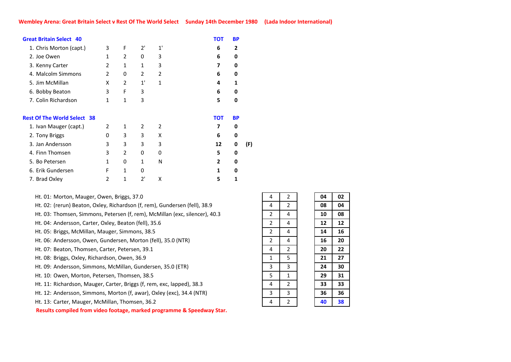| <b>Great Britain Select 40</b>     |              |                |              |    | тот            | <b>BP</b> |     |
|------------------------------------|--------------|----------------|--------------|----|----------------|-----------|-----|
| 1. Chris Morton (capt.)            | 3            | F              | 2'           | 1' | 6              | 2         |     |
| 2. Joe Owen                        | 1            | $\overline{2}$ | 0            | 3  | 6              | 0         |     |
| 3. Kenny Carter                    | 2            | $\mathbf{1}$   | 1            | 3  | 7              | 0         |     |
| 4. Malcolm Simmons                 | 2            | 0              | 2            | 2  | 6              | 0         |     |
| 5. Jim McMillan                    | X            | 2              | 1'           | 1  | 4              | 1         |     |
| 6. Bobby Beaton                    | 3            | F              | 3            |    | 6              | 0         |     |
| 7. Colin Richardson                | $\mathbf{1}$ | $\mathbf{1}$   | 3            |    | 5              | 0         |     |
| <b>Rest Of The World Select 38</b> |              |                |              |    | <b>TOT</b>     | <b>BP</b> |     |
| 1. Ivan Mauger (capt.)             | 2            | 1              | 2            | 2  | 7              | 0         |     |
| 2. Tony Briggs                     | 0            | 3              | 3            | X  | 6              | 0         |     |
| 3. Jan Andersson                   | 3            | 3              | 3            | 3  | 12             | 0         | (F) |
|                                    |              |                |              |    |                |           |     |
| 4. Finn Thomsen                    | 3            | 2              | 0            | 0  | 5              | 0         |     |
| 5. Bo Petersen                     | $\mathbf{1}$ | 0              | $\mathbf{1}$ | N  | $\overline{2}$ | 0         |     |
| 6. Erik Gundersen                  | F            | 1              | 0            |    | 1              | 0         |     |
| 7. Brad Oxley                      | 2            | 1              | 2'           | x  | 5              | 1         |     |

Ht. 01: Morton, Mauger, Owen, Briggs, 37.0

Ht. 02: (rerun) Beaton, Oxley, Richardson (f, rem), Gundersen (fell), 38.9

Ht. 03: Thomsen, Simmons, Petersen (f, rem), McMillan (exc, silencer), 40.3

Ht. 04: Andersson, Carter, Oxley, Beaton (fell), 35.6

Ht. 05: Briggs, McMillan, Mauger, Simmons, 38.5

Ht. 06: Andersson, Owen, Gundersen, Morton (fell), 35.0 (NTR)

Ht. 07: Beaton, Thomsen, Carter, Petersen, 39.1

Ht. 08: Briggs, Oxley, Richardson, Owen, 36.9

Ht. 09: Andersson, Simmons, McMillan, Gundersen, 35.0 (ETR)

Ht. 10: Owen, Morton, Petersen, Thomsen, 38.5

Ht. 11: Richardson, Mauger, Carter, Briggs (f, rem, exc, lapped), 38.3

Ht. 12: Andersson, Simmons, Morton (f, awar), Oxley (exc), 34.4 (NTR)

Ht. 13: Carter, Mauger, McMillan, Thomsen, 36.2

**Results compiled from video footage, marked programme & Speedway Star.**

| 4                         | 2              | 04 | 02 |
|---------------------------|----------------|----|----|
| 4                         | $\overline{2}$ | 08 | 04 |
| 2                         | 4              | 10 | 08 |
| $\overline{2}$            | 4              | 12 | 12 |
| $\overline{2}$            | 4              | 14 | 16 |
| $\overline{2}$            | 4              | 16 | 20 |
| 4                         | $\overline{2}$ | 20 | 22 |
| 1                         | 5              | 21 | 27 |
| $\overline{\overline{3}}$ | 3              | 24 | 30 |
| $\overline{5}$            | 1              | 29 | 31 |
| 4                         | $\overline{2}$ | 33 | 33 |
| 3                         | 3              | 36 | 36 |
| $\overline{4}$            | 2              | 40 | 38 |

4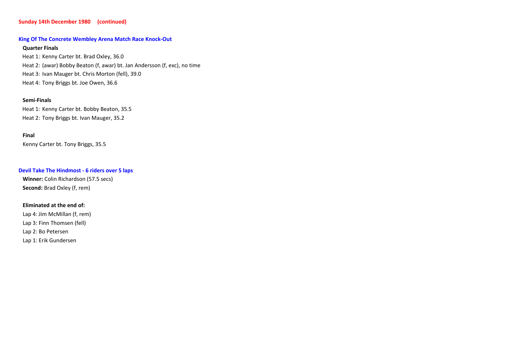# **Sunday 14th December 1980 (continued)**

#### **King Of The Concrete Wembley Arena Match Race Knock-Out**

# **Quarter Finals**

Heat 1: Kenny Carter bt. Brad Oxley, 36.0 Heat 2: (awar) Bobby Beaton (f, awar) bt. Jan Andersson (f, exc), no timeHeat 3: Ivan Mauger bt. Chris Morton (fell), 39.0 Heat 4: Tony Briggs bt. Joe Owen, 36.6

# **Semi-Finals**

Heat 1: Kenny Carter bt. Bobby Beaton, 35.5 Heat 2: Tony Briggs bt. Ivan Mauger, 35.2

# **Final**

Kenny Carter bt. Tony Briggs, 35.5

#### **Devil Take The Hindmost - 6 riders over 5 laps**

**Winner:** Colin Richardson (57.5 secs)**Second:** Brad Oxley (f, rem)

#### **Eliminated at the end of:**

Lap 1: Erik Gundersen Lap 4: Jim McMillan (f, rem)Lap 3: Finn Thomsen (fell)Lap 2: Bo Petersen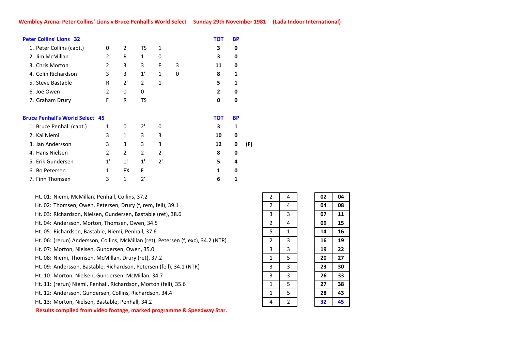| <b>Peter Collins' Lions 32</b>         |                |           |    |              |   | <b>TOT</b> | <b>BP</b> |     |
|----------------------------------------|----------------|-----------|----|--------------|---|------------|-----------|-----|
| 1. Peter Collins (capt.)               | 0              | 2         | TS | $\mathbf{1}$ |   | 3          | 0         |     |
| 2. Jim McMillan                        | $\overline{2}$ | R         | 1  | 0            |   | 3          | 0         |     |
| 3. Chris Morton                        | 2              | 3         | 3  | F            | 3 | 11         | 0         |     |
| 4. Colin Richardson                    | 3              | 3         | 1' | 1            | 0 | 8          | 1         |     |
| 5. Steve Bastable                      | R              | 2'        | 2  | 1            |   | 5          | 1         |     |
| 6. Joe Owen                            | $\overline{2}$ | 0         | 0  |              |   | 2          | 0         |     |
| 7. Graham Drury                        | F              | R         | TS |              |   | 0          | 0         |     |
| <b>Bruce Penhall's World Select 45</b> |                |           |    |              |   | <b>TOT</b> | <b>BP</b> |     |
| 1. Bruce Penhall (capt.)               | 1              | 0         | 2' | 0            |   | 3          | 1         |     |
| 2. Kai Niemi                           | 3              | 1         | 3  | 3            |   | 10         | 0         |     |
| 3. Jan Andersson                       | 3              | 3         | 3  | 3            |   | 12         | 0         | (F) |
| 4. Hans Nielsen                        | 2              | 2         | 2  | 2            |   | 8          | 0         |     |
| 5. Erik Gundersen                      | 1'             | 1'        | 1' | 2'           |   | 5          | 4         |     |
| 6. Bo Petersen                         | $\mathbf{1}$   | <b>FX</b> | F  |              |   | 1          | 0         |     |
| 7. Finn Thomsen                        | 3              | 1         | 7' |              |   | 6          | 1         |     |
|                                        |                |           |    |              |   |            |           |     |

Ht. 01: Niemi, McMillan, Penhall, Collins, 37.2

Ht. 02: Thomsen, Owen, Petersen, Drury (f, rem, fell), 39.1

Ht. 03: Richardson, Nielsen, Gundersen, Bastable (ret), 38.6

Ht. 04: Andersson, Morton, Thomsen, Owen, 34.5

Ht. 05: Richardson, Bastable, Niemi, Penhall, 37.6

Ht. 06:(rerun) Andersson, Collins, McMillan (ret), Petersen (f, exc), 34.2 (NTR)

Ht. 07: Morton, Nielsen, Gundersen, Owen, 35.0

Ht. 08: Niemi, Thomsen, McMillan, Drury (ret), 37.2

Ht. 09: Andersson, Bastable, Richardson, Petersen (fell), 34.1 (NTR)

Ht. 10: Morton, Nielsen, Gundersen, McMillan, 34.7

Ht. 11: (rerun) Niemi, Penhall, Richardson, Morton (fell), 35.6

Ht. 12: Andersson, Gundersen, Collins, Richardson, 34.4

Ht. 13: Morton, Nielsen, Bastable, Penhall, 34.2

**Results compiled from video footage, marked programme & Speedway Star.**

| 2                       | 4              | 02 | 04 |
|-------------------------|----------------|----|----|
| $\overline{2}$          | 4              | 04 | 08 |
| 3                       | 3              | 07 | 11 |
| $\overline{2}$          | 4              | 09 | 15 |
| 5                       | $\mathbf{1}$   | 14 | 16 |
| $\overline{2}$          | 3              | 16 | 19 |
| 3                       | 3              | 19 | 22 |
| 1                       | 5              | 20 | 27 |
| $\overline{\mathbf{3}}$ | 3              | 23 | 30 |
| 3                       | 3              | 26 | 33 |
| 1                       | 5              | 27 | 38 |
| 1                       | 5              | 28 | 43 |
| 4                       | $\overline{2}$ | 32 | 45 |

 $2^{\circ}$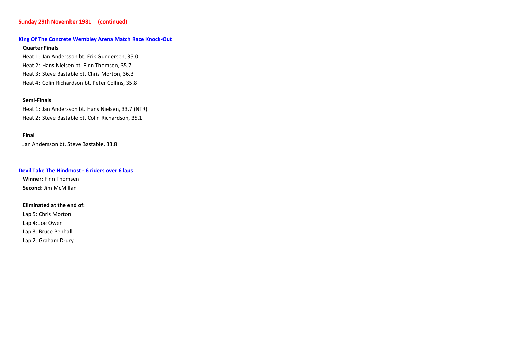# **Sunday 29th November 1981 (continued)**

# **King Of The Concrete Wembley Arena Match Race Knock-Out**

# **Quarter Finals**

Heat 1: Jan Andersson bt. Erik Gundersen, 35.0 Heat 2: Hans Nielsen bt. Finn Thomsen, 35.7 Heat 3: Steve Bastable bt. Chris Morton, 36.3Heat 4: Colin Richardson bt. Peter Collins, 35.8

#### **Semi-Finals**

Heat 1: Jan Andersson bt. Hans Nielsen, 33.7 (NTR) Heat 2: Steve Bastable bt. Colin Richardson, 35.1

#### **Final**

Jan Andersson bt. Steve Bastable, 33.8

# **Devil Take The Hindmost - 6 riders over 6 laps**

**Winner:** Finn Thomsen**Second:** Jim McMillan

# **Eliminated at the end of:**

Lap 5: Chris Morton

Lap 4: Joe Owen

Lap 3: Bruce Penhall

Lap 2: Graham Drury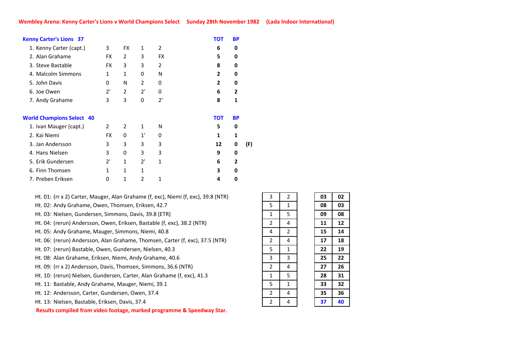| <b>Kenny Carter's Lions 37</b>   |                |                |               |           | TOT            | <b>BP</b>    |     |
|----------------------------------|----------------|----------------|---------------|-----------|----------------|--------------|-----|
| 1. Kenny Carter (capt.)          | 3              | <b>FX</b>      | 1             | 2         | 6              | 0            |     |
| 2. Alan Grahame                  | <b>FX</b>      | 2              | 3             | <b>FX</b> | 5              | 0            |     |
| 3. Steve Bastable                | <b>FX</b>      | 3              | 3             | 2         | 8              | 0            |     |
| 4. Malcolm Simmons               | 1              | $\mathbf{1}$   | 0             | N         | $\mathbf{2}$   | 0            |     |
| 5. John Davis                    | 0              | N              | 2             | 0         | $\overline{2}$ | 0            |     |
| 6. Joe Owen                      | 2'             | $\overline{2}$ | 2'            | 0         | 6              | $\mathbf{2}$ |     |
| 7. Andy Grahame                  | 3              | 3              | 0             | 2'        | 8              | 1            |     |
| <b>World Champions Select 40</b> |                |                |               |           | <b>TOT</b>     | <b>BP</b>    |     |
| 1. Ivan Mauger (capt.)           | $\overline{2}$ | $\overline{2}$ | 1             | N         | 5              | 0            |     |
| 2. Kai Niemi                     | <b>FX</b>      | 0              | 1'            | 0         | 1              | 1            |     |
| 3. Jan Andersson                 | 3              | 3              | 3             | 3         | 12             | 0            | (F) |
| 4. Hans Nielsen                  | 3              | 0              | 3             | 3         | 9              | 0            |     |
| 5. Erik Gundersen                | 2'             | 1              | 2'            | 1         | 6              | $\mathbf{2}$ |     |
| 6. Finn Thomsen                  | $\mathbf{1}$   | $\mathbf{1}$   | 1             |           | 3              | 0            |     |
| 7. Preben Eriksen                | 0              | 1              | $\mathfrak z$ | 1         | 4              | 0            |     |
|                                  |                |                |               |           |                |              |     |

Ht. 01: (rr x 2) Carter, Mauger, Alan Grahame (f, exc), Niemi (f, exc), 39.8 (NTR)

Ht. 02: Andy Grahame, Owen, Thomsen, Eriksen, 42.7

Ht. 03: Nielsen, Gundersen, Simmons, Davis, 39.8 (ETR)

Ht. 04: (rerun) Andersson, Owen, Eriksen, Bastable (f, exc), 38.2 (NTR)

Ht. 05: Andy Grahame, Mauger, Simmons, Niemi, 40.8

Ht. 06:(rerun) Andersson, Alan Grahame, Thomsen, Carter (f, exc), 37.5 (NTR)

Ht. 07:(rerun) Bastable, Owen, Gundersen, Nielsen, 40.3

Ht. 08: Alan Grahame, Eriksen, Niemi, Andy Grahame, 40.6

Ht. 09: (rr x 2) Andersson, Davis, Thomsen, Simmons, 36.6 (NTR)

Ht. 10: (rerun) Nielsen, Gundersen, Carter, Alan Grahame (f, exc), 41.3

Ht. 11: Bastable, Andy Grahame, Mauger, Niemi, 39.1

Ht. 12: Andersson, Carter, Gundersen, Owen, 37.4

Ht. 13: Nielsen, Bastable, Eriksen, Davis, 37.4

**Results compiled from video footage, marked programme & Speedway Star.**

| 3                         | 2              | 03 | 02 |
|---------------------------|----------------|----|----|
| 5                         | $\mathbf{1}$   | 08 | 03 |
| 1                         | 5              | 09 | 08 |
| $\overline{2}$            | 4              | 11 | 12 |
| 4                         | $\overline{2}$ | 15 | 14 |
| $\overline{2}$            | 4              | 17 | 18 |
| $\overline{5}$            | 1              | 22 | 19 |
| $\overline{\overline{3}}$ | 3              | 25 | 22 |
| $\overline{\mathbf{2}}$   | 4              | 27 | 26 |
| 1                         | 5              | 28 | 31 |
| $\overline{5}$            | $\mathbf{1}$   | 33 | 32 |
| 2                         | 4              | 35 | 36 |
| $\overline{2}$            | 4              | 37 | 40 |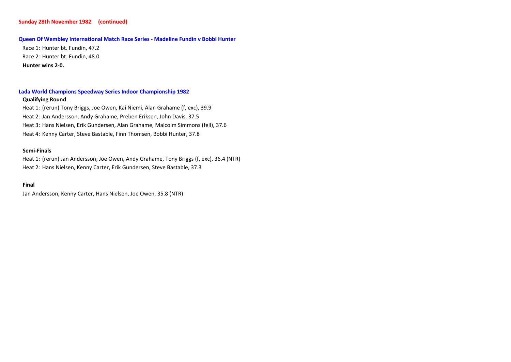# **Sunday 28th November 1982 (continued)**

#### **Queen Of Wembley International Match Race Series - Madeline Fundin v Bobbi Hunter**

Race 1: Hunter bt. Fundin, 47.2 Race 2: Hunter bt. Fundin, 48.0**Hunter wins 2-0.**

# **Lada World Champions Speedway Series Indoor Championship 1982**

## **Qualifying Round**

Heat 1: (rerun) Tony Briggs, Joe Owen, Kai Niemi, Alan Grahame (f, exc), 39.9Heat 2: Jan Andersson, Andy Grahame, Preben Eriksen, John Davis, 37.5 Heat 3: Hans Nielsen, Erik Gundersen, Alan Grahame, Malcolm Simmons (fell), 37.6 Heat 4: Kenny Carter, Steve Bastable, Finn Thomsen, Bobbi Hunter, 37.8

# **Semi-Finals**

Heat 1: (rerun) Jan Andersson, Joe Owen, Andy Grahame, Tony Briggs (f, exc), 36.4 (NTR)Heat 2: Hans Nielsen, Kenny Carter, Erik Gundersen, Steve Bastable, 37.3

#### **Final**

Jan Andersson, Kenny Carter, Hans Nielsen, Joe Owen, 35.8 (NTR)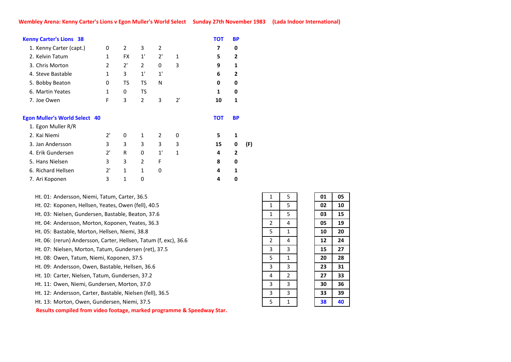| <b>Kenny Carter's Lions 38</b>                             |              |           |                |    |    | <b>TOT</b> | <b>BP</b>      |     |
|------------------------------------------------------------|--------------|-----------|----------------|----|----|------------|----------------|-----|
| 1. Kenny Carter (capt.)                                    | 0            | 2         | 3              | 2  |    | 7          | 0              |     |
| 2. Kelvin Tatum                                            | 1            | <b>FX</b> | 1'             | 2' | 1  | 5          | $\mathbf{2}$   |     |
| 3. Chris Morton                                            | 2            | 2'        | 2              | 0  | 3  | 9          | 1              |     |
| 4. Steve Bastable                                          | $\mathbf{1}$ | 3         | 1'             | 1' |    | 6          | 2              |     |
| 5. Bobby Beaton                                            | 0            | TS        | TS             | N  |    | 0          | 0              |     |
| 6. Martin Yeates                                           | 1            | 0         | TS             |    |    | 1          | 0              |     |
| 7. Joe Owen                                                | F            | 3         | 2              | 3  | 2' | 10         | 1              |     |
| <b>Egon Muller's World Select 40</b><br>1. Egon Muller R/R |              |           |                |    |    | тот        | <b>BP</b>      |     |
| 2. Kai Niemi                                               | 2'           | 0         | $\mathbf{1}$   | 2  | 0  | 5          | 1              |     |
| 3. Jan Andersson                                           | 3            | 3         | 3              | 3  | 3  | 15         | 0              | (F) |
| 4. Erik Gundersen                                          | 2'           | R         | 0              | 1' | 1  | 4          | $\overline{2}$ |     |
| 5. Hans Nielsen                                            | 3            | 3         | $\overline{2}$ | F  |    | 8          | 0              |     |
| 6. Richard Hellsen                                         | 2'           | 1         | 1              | 0  |    | 4          | 1              |     |
| 7. Ari Koponen                                             | 3            | 1         | 0              |    |    | 4          | 0              |     |
|                                                            |              |           |                |    |    |            |                |     |

Ht. 12: Andersson, Carter, Bastable, Nielsen (fell), 36.5 Ht. 13: Morton, Owen, Gundersen, Niemi, 37.5 **Results compiled from video footage, marked programme & Speedway Star.**Ht. 10: Carter, Nielsen, Tatum, Gundersen, 37.2 Ht. 05: Bastable, Morton, Hellsen, Niemi, 38.8 Ht. 06:(rerun) Andersson, Carter, Hellsen, Tatum (f, exc), 36.6Ht. 08: Owen, Tatum, Niemi, Koponen, 37.5 Ht. 09: Andersson, Owen, Bastable, Hellsen, 36.6Ht. 07: Nielsen, Morton, Tatum, Gundersen (ret), 37.5 Ht. 11: Owen, Niemi, Gundersen, Morton, 37.0 Ht. 01: Andersson, Niemi, Tatum, Carter, 36.5Ht. 02: Koponen, Hellsen, Yeates, Owen (fell), 40.5 Ht. 03: Nielsen, Gundersen, Bastable, Beaton, 37.6Ht. 04: Andersson, Morton, Koponen, Yeates, 36.3

| 1                       | 5              | 01 | 05 |
|-------------------------|----------------|----|----|
| 1                       | 5              | 02 | 10 |
| 1                       | 5              | 03 | 15 |
| 2                       | 4              | 05 | 19 |
| 5                       | 1              | 10 | 20 |
| $\overline{2}$          | 4              | 12 | 24 |
| $\overline{\mathbf{3}}$ | 3              | 15 | 27 |
| 5                       | $\mathbf 1$    | 20 | 28 |
| $\overline{\mathbf{3}}$ | 3              | 23 | 31 |
| 4                       | $\overline{2}$ | 27 | 33 |
| 3                       | 3              | 30 | 36 |
| 3                       | 3              | 33 | 39 |
| $\overline{5}$          | $\mathbf 1$    | 38 | 40 |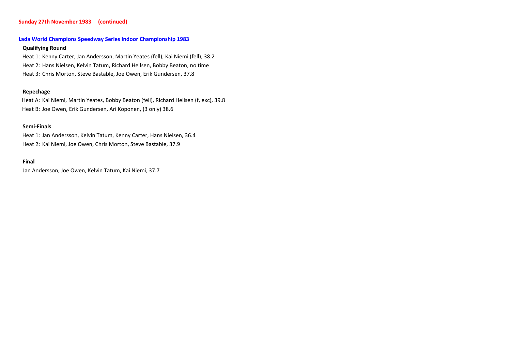# **Sunday 27th November 1983 (continued)**

# **Lada World Champions Speedway Series Indoor Championship 1983**

# **Qualifying Round**

Heat 1: Kenny Carter, Jan Andersson, Martin Yeates (fell), Kai Niemi (fell), 38.2 Heat 2: Hans Nielsen, Kelvin Tatum, Richard Hellsen, Bobby Beaton, no time Heat 3: Chris Morton, Steve Bastable, Joe Owen, Erik Gundersen, 37.8

# **Repechage**

Heat A: Kai Niemi, Martin Yeates, Bobby Beaton (fell), Richard Hellsen (f, exc), 39.8 Heat B: Joe Owen, Erik Gundersen, Ari Koponen, (3 only) 38.6

#### **Semi-Finals**

Heat 1: Jan Andersson, Kelvin Tatum, Kenny Carter, Hans Nielsen, 36.4 Heat 2: Kai Niemi, Joe Owen, Chris Morton, Steve Bastable, 37.9

#### **Final**

Jan Andersson, Joe Owen, Kelvin Tatum, Kai Niemi, 37.7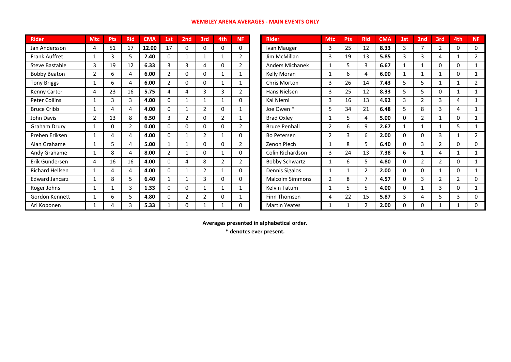# **WEMBLEY ARENA AVERAGES - MAIN EVENTS ONLY**

| <b>Rider</b>          | <b>Mtc</b>     | <b>Pts</b> | <b>Rid</b>     | <b>CMA</b> | 1st            | 2 <sub>nd</sub> | 3rd            | 4th            | <b>NF</b>      | <b>Rider</b>           | <b>Mtc</b>     | <b>Pts</b> | <b>Rid</b>     | <b>CMA</b> | 1st            | 2 <sub>nd</sub> | 3rd            | 4th            | <b>NF</b>      |
|-----------------------|----------------|------------|----------------|------------|----------------|-----------------|----------------|----------------|----------------|------------------------|----------------|------------|----------------|------------|----------------|-----------------|----------------|----------------|----------------|
| Jan Andersson         | 4              | 51         | 17             | 12.00      | 17             | 0               | $\mathbf{0}$   | 0              | $\Omega$       | Ivan Mauger            | 3              | 25         | 12             | 8.33       | 3              | 7               | 2              | 0              | $\Omega$       |
| <b>Frank Auffret</b>  |                | 3          | 5.             | 2.40       | 0              | 1               | 1              | $\mathbf{1}$   | $\overline{2}$ | Jim McMillan           | 3              | 19         | 13             | 5.85       | 3              | 3               | 4              |                | $\overline{2}$ |
| Steve Bastable        | 3              | 19         | 12             | 6.33       | 3              | 3               | 4              | 0              | $\overline{2}$ | <b>Anders Michanek</b> |                | 5          | 3              | 6.67       |                |                 | 0              | 0              | $\mathbf{1}$   |
| <b>Bobby Beaton</b>   | 2              | 6          | 4              | 6.00       | 2              | 0               | 0              | $\mathbf{1}$   |                | Kelly Moran            |                | 6          | 4              | 6.00       |                | 1               |                | 0              | 1              |
| <b>Tony Briggs</b>    |                | 6          | 4              | 6.00       | $\overline{2}$ | 0               | 0              | $\mathbf{1}$   |                | Chris Morton           | 3              | 26         | 14             | 7.43       | 5              | 5               |                |                | 2              |
| Kenny Carter          | 4              | 23         | 16             | 5.75       | 4              | 4               | 3              | 3              | $\overline{2}$ | Hans Nielsen           | 3              | 25         | 12             | 8.33       | 5              | 5               | 0              |                | 1              |
| Peter Collins         |                | 3          | 3              | 4.00       | 0              | $\mathbf{1}$    | 1              | 1              | 0              | Kai Niemi              | 3              | 16         | 13             | 4.92       | $\overline{3}$ | $\overline{2}$  | 3              | 4              | 1              |
| <b>Bruce Cribb</b>    |                | 4          | 4              | 4.00       | 0              |                 | $\overline{2}$ | 0              |                | Joe Owen *             | 5              | 34         | 21             | 6.48       | 5              | 8               | 3              | 4              | 1              |
| John Davis            | $\overline{2}$ | 13         | 8              | 6.50       | 3              | 2               | 0              | $\overline{2}$ | 1              | <b>Brad Oxley</b>      |                | 5          | 4              | 5.00       | 0              | $\overline{2}$  |                | 0              | 1              |
| Graham Drury          | 1              | 0          | $\overline{2}$ | 0.00       | 0              | 0               | 0              | 0              | $\overline{2}$ | <b>Bruce Penhall</b>   | $\overline{2}$ | 6          | 9              | 2.67       |                |                 |                | 5              | $\mathbf{1}$   |
| Preben Eriksen        |                | 4          | 4              | 4.00       | 0              | 1               | $\overline{2}$ | $\mathbf{1}$   | 0              | Bo Petersen            | $\mathfrak{p}$ | 3          | 6              | 2.00       | 0              | $\Omega$        | 3              |                | $\overline{2}$ |
| Alan Grahame          |                | 5          | 4              | 5.00       |                |                 | 0              | 0              | $\overline{2}$ | Zenon Plech            |                | 8          | 5              | 6.40       | 0              | 3               | $\overline{2}$ | 0              | 0              |
| Andy Grahame          | 1              | 8          | 4              | 8.00       | 2              | 1               | 0              | $\mathbf{1}$   | 0              | Colin Richardson       | 3              | 24         | 13             | 7.38       | 6              |                 | 4              |                | 1              |
| Erik Gundersen        | 4              | 16         | 16             | 4.00       | $\Omega$       | 4               | 8              | $\overline{2}$ | $\overline{2}$ | <b>Bobby Schwartz</b>  |                | 6          | 5              | 4.80       | 0              | $\overline{2}$  | $\overline{2}$ | 0              | 1              |
| Richard Hellsen       |                | 4          | 4              | 4.00       | 0              | 1               | $\overline{2}$ | $\mathbf{1}$   | $\Omega$       | Dennis Sigalos         |                | 1          | 2              | 2.00       | 0              | $\Omega$        |                | 0              |                |
| <b>Edward Jancarz</b> | 1              | 8          | 5              | 6.40       |                | 1               | 3              | 0              | $\Omega$       | <b>Malcolm Simmons</b> | $\overline{2}$ | 8          |                | 4.57       | 0              | 3               | $\overline{2}$ | $\overline{2}$ | 0              |
| Roger Johns           | 1              |            | 3              | 1.33       | 0              | 0               | $\mathbf{1}$   | $\mathbf{1}$   |                | Kelvin Tatum           |                | 5          | 5              | 4.00       | 0              | 1               | 3              | 0              | 1              |
| Gordon Kennett        |                | 6          | 5              | 4.80       | 0              | $\overline{2}$  | $\overline{2}$ | 0              |                | Finn Thomsen           | 4              | 22         | 15             | 5.87       | 3              | 4               | 5              | 3              | $\Omega$       |
| Ari Koponen           | 1              | 4          | 3              | 5.33       |                | 0               |                | 1              | 0              | <b>Martin Yeates</b>   |                |            | $\overline{2}$ | 2.00       | 0              | 0               |                |                | 0              |

**Averages presented in alphabetical order.**

**\* denotes ever present.**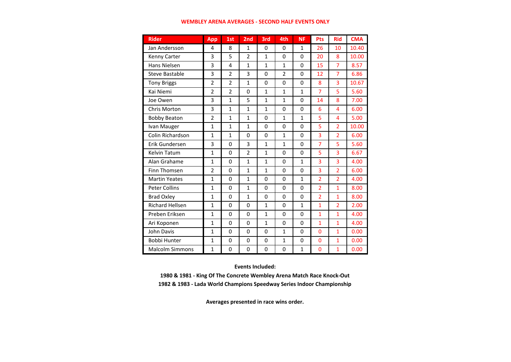## **WEMBLEY ARENA AVERAGES - SECOND HALF EVENTS ONLY**

| <b>Rider</b>           | <b>App</b>     | 1st            | 2 <sub>nd</sub> | 3rd          | 4th            | <b>NF</b>    | Pts            | <b>Rid</b>     | <b>CMA</b> |
|------------------------|----------------|----------------|-----------------|--------------|----------------|--------------|----------------|----------------|------------|
| Jan Andersson          | 4              | 8              | $\mathbf{1}$    | 0            | 0              | 1            | 26             | 10             | 10.40      |
| Kenny Carter           | 3              | 5              | $\overline{2}$  | $\mathbf{1}$ | 0              | 0            | 20             | 8              | 10.00      |
| Hans Nielsen           | 3              | 4              | $\mathbf{1}$    | $\mathbf{1}$ | $\mathbf{1}$   | $\mathbf 0$  | 15             | $\overline{7}$ | 8.57       |
| <b>Steve Bastable</b>  | 3              | $\overline{2}$ | 3               | $\Omega$     | $\overline{2}$ | $\mathbf 0$  | 12             | $\overline{7}$ | 6.86       |
| <b>Tony Briggs</b>     | $\overline{2}$ | $\overline{2}$ | $\mathbf{1}$    | 0            | 0              | $\Omega$     | 8              | 3              | 10.67      |
| Kai Niemi              | $\overline{2}$ | $\overline{2}$ | 0               | $\mathbf{1}$ | $\mathbf{1}$   | $\mathbf{1}$ | $\overline{7}$ | 5              | 5.60       |
| Joe Owen               | 3              | $\overline{1}$ | 5               | $\mathbf{1}$ | $\mathbf{1}$   | $\mathbf 0$  | 14             | 8              | 7.00       |
| Chris Morton           | 3              | $\mathbf{1}$   | $\mathbf{1}$    | $\mathbf{1}$ | 0              | $\mathbf 0$  | 6              | 4              | 6.00       |
| <b>Bobby Beaton</b>    | $\overline{2}$ | $\mathbf{1}$   | $\mathbf{1}$    | $\Omega$     | $\mathbf{1}$   | $\mathbf{1}$ | 5              | 4              | 5.00       |
| Ivan Mauger            | $\mathbf{1}$   | $\mathbf{1}$   | $\mathbf{1}$    | $\Omega$     | 0              | $\Omega$     | 5              | 2              | 10.00      |
| Colin Richardson       | $\mathbf{1}$   | $\mathbf{1}$   | 0               | $\Omega$     | $\mathbf{1}$   | $\Omega$     | 3              | $\overline{2}$ | 6.00       |
| Erik Gundersen         | 3              | $\overline{0}$ | 3               | $\mathbf{1}$ | $\mathbf{1}$   | $\mathbf 0$  | 7              | 5              | 5.60       |
| Kelvin Tatum           | $\mathbf{1}$   | $\overline{0}$ | $\overline{2}$  | $\mathbf{1}$ | 0              | $\mathbf 0$  | 5              | 3              | 6.67       |
| Alan Grahame           | $\mathbf{1}$   | $\overline{0}$ | $\mathbf{1}$    | $\mathbf{1}$ | 0              | $\mathbf{1}$ | 3              | 3              | 4.00       |
| Finn Thomsen           | $\overline{2}$ | $\mathbf 0$    | 1               | $\mathbf{1}$ | 0              | $\Omega$     | 3              | $\overline{2}$ | 6.00       |
| <b>Martin Yeates</b>   | $\mathbf{1}$   | $\mathbf 0$    | $\mathbf{1}$    | 0            | 0              | $\mathbf{1}$ | $\overline{2}$ | $\overline{2}$ | 4.00       |
| <b>Peter Collins</b>   | $\mathbf{1}$   | $\mathbf 0$    | $\mathbf{1}$    | 0            | 0              | $\Omega$     | $\overline{2}$ | $\mathbf{1}$   | 8.00       |
| <b>Brad Oxley</b>      | $\mathbf{1}$   | 0              | $\mathbf{1}$    | $\Omega$     | 0              | $\Omega$     | $\overline{2}$ | $\mathbf{1}$   | 8.00       |
| <b>Richard Hellsen</b> | $\mathbf{1}$   | 0              | 0               | $\mathbf{1}$ | 0              | $\mathbf{1}$ | $\mathbf{1}$   | $\overline{2}$ | 2.00       |
| Preben Eriksen         | $\mathbf{1}$   | $\mathbf 0$    | 0               | $\mathbf{1}$ | 0              | $\Omega$     | $\mathbf{1}$   | $\mathbf{1}$   | 4.00       |
| Ari Koponen            | $\mathbf{1}$   | $\Omega$       | 0               | $\mathbf{1}$ | $\Omega$       | $\Omega$     | $\mathbf{1}$   | $\mathbf{1}$   | 4.00       |
| John Davis             | $\mathbf{1}$   | $\Omega$       | 0               | $\Omega$     | $\mathbf{1}$   | $\Omega$     | $\Omega$       | $\mathbf{1}$   | 0.00       |
| Bobbi Hunter           | $\mathbf{1}$   | 0              | 0               | $\Omega$     | $\mathbf{1}$   | $\Omega$     | $\Omega$       | $\mathbf{1}$   | 0.00       |
| <b>Malcolm Simmons</b> | $\mathbf{1}$   | $\mathbf 0$    | 0               | $\Omega$     | 0              | $\mathbf{1}$ | $\mathbf{0}$   | $\mathbf{1}$   | 0.00       |

# **Events Included:**

**1980 & 1981 - King Of The Concrete Wembley Arena Match Race Knock-Out1982 & 1983 - Lada World Champions Speedway Series Indoor Championship**

**Averages presented in race wins order.**